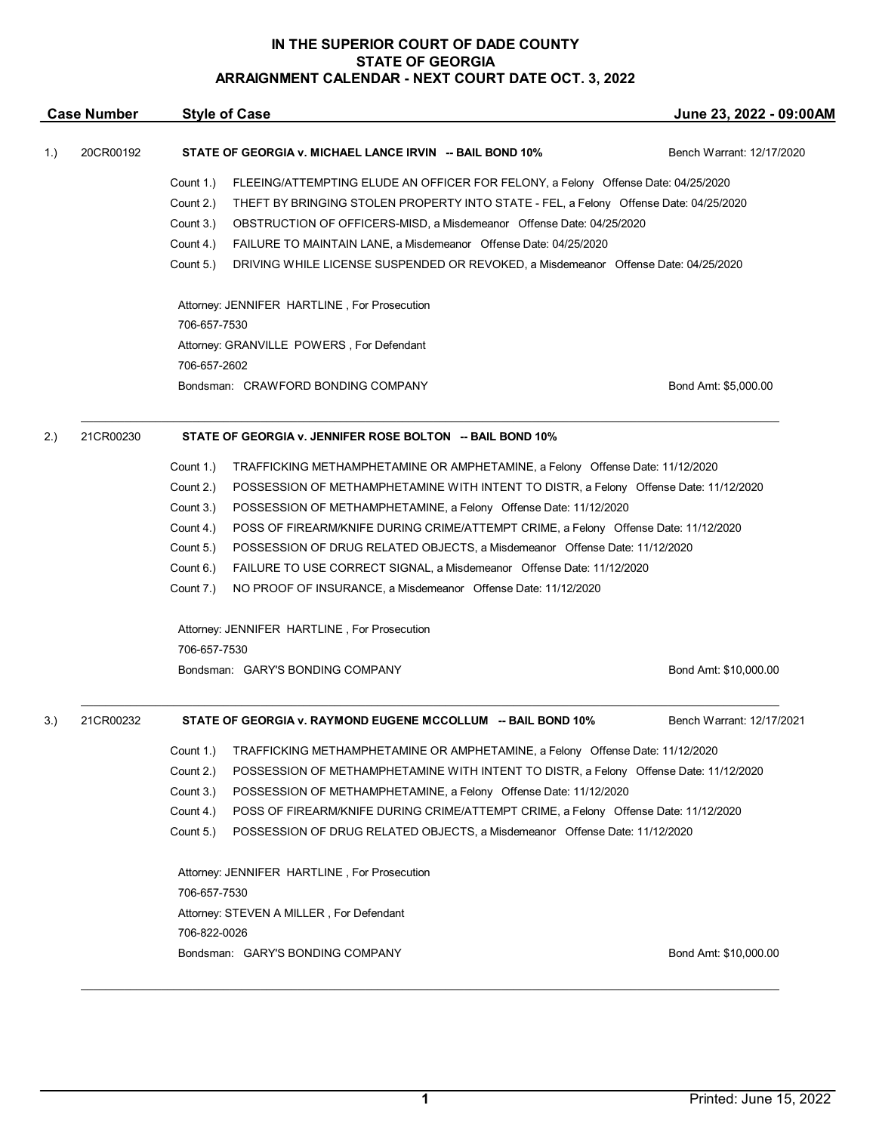## **IN THE SUPERIOR COURT OF DADE COUNTY STATE OF GEORGIA ARRAIGNMENT CALENDAR - NEXT COURT DATE OCT. 3, 2022**

| <b>Case Number</b> |           | <b>Style of Case</b>                                                                               | June 23, 2022 - 09:00AM                                                               |  |  |
|--------------------|-----------|----------------------------------------------------------------------------------------------------|---------------------------------------------------------------------------------------|--|--|
| 1.)                | 20CR00192 | STATE OF GEORGIA v. MICHAEL LANCE IRVIN -- BAIL BOND 10%                                           | Bench Warrant: 12/17/2020                                                             |  |  |
|                    |           | Count 1.)<br>FLEEING/ATTEMPTING ELUDE AN OFFICER FOR FELONY, a Felony Offense Date: 04/25/2020     |                                                                                       |  |  |
|                    |           | Count 2.)                                                                                          | THEFT BY BRINGING STOLEN PROPERTY INTO STATE - FEL, a Felony Offense Date: 04/25/2020 |  |  |
|                    |           | Count 3.)<br>OBSTRUCTION OF OFFICERS-MISD, a Misdemeanor Offense Date: 04/25/2020                  |                                                                                       |  |  |
|                    |           | Count 4.)<br>FAILURE TO MAINTAIN LANE, a Misdemeanor Offense Date: 04/25/2020                      |                                                                                       |  |  |
|                    |           | Count 5.)<br>DRIVING WHILE LICENSE SUSPENDED OR REVOKED, a Misdemeanor Offense Date: 04/25/2020    |                                                                                       |  |  |
|                    |           | Attorney: JENNIFER HARTLINE, For Prosecution                                                       |                                                                                       |  |  |
|                    |           | 706-657-7530                                                                                       |                                                                                       |  |  |
|                    |           | Attorney: GRANVILLE POWERS, For Defendant                                                          |                                                                                       |  |  |
|                    |           | 706-657-2602                                                                                       |                                                                                       |  |  |
|                    |           | Bondsman: CRAWFORD BONDING COMPANY                                                                 | Bond Amt: \$5,000.00                                                                  |  |  |
| 2.)                | 21CR00230 | STATE OF GEORGIA v. JENNIFER ROSE BOLTON -- BAIL BOND 10%                                          |                                                                                       |  |  |
|                    |           | Count 1.)<br>TRAFFICKING METHAMPHETAMINE OR AMPHETAMINE, a Felony Offense Date: 11/12/2020         |                                                                                       |  |  |
|                    |           | Count 2.)<br>POSSESSION OF METHAMPHETAMINE WITH INTENT TO DISTR, a Felony Offense Date: 11/12/2020 |                                                                                       |  |  |
|                    |           | Count 3.)<br>POSSESSION OF METHAMPHETAMINE, a Felony Offense Date: 11/12/2020                      |                                                                                       |  |  |
|                    |           | Count 4.)<br>POSS OF FIREARM/KNIFE DURING CRIME/ATTEMPT CRIME, a Felony Offense Date: 11/12/2020   |                                                                                       |  |  |
|                    |           | Count 5.)<br>POSSESSION OF DRUG RELATED OBJECTS, a Misdemeanor Offense Date: 11/12/2020            |                                                                                       |  |  |
|                    |           | FAILURE TO USE CORRECT SIGNAL, a Misdemeanor Offense Date: 11/12/2020<br>Count 6.)                 |                                                                                       |  |  |
|                    |           | Count 7.)<br>NO PROOF OF INSURANCE, a Misdemeanor Offense Date: 11/12/2020                         |                                                                                       |  |  |
|                    |           | Attorney: JENNIFER HARTLINE, For Prosecution                                                       |                                                                                       |  |  |
|                    |           | 706-657-7530                                                                                       |                                                                                       |  |  |
|                    |           | Bondsman: GARY'S BONDING COMPANY                                                                   | Bond Amt: \$10,000.00                                                                 |  |  |
| 3.)                | 21CR00232 | STATE OF GEORGIA v. RAYMOND EUGENE MCCOLLUM -- BAIL BOND 10%                                       | Bench Warrant: 12/17/2021                                                             |  |  |
|                    |           | Count 1.)<br>TRAFFICKING METHAMPHETAMINE OR AMPHETAMINE, a Felony Offense Date: 11/12/2020         |                                                                                       |  |  |
|                    |           | Count 2.)<br>POSSESSION OF METHAMPHETAMINE WITH INTENT TO DISTR, a Felony Offense Date: 11/12/2020 |                                                                                       |  |  |
|                    |           | POSSESSION OF METHAMPHETAMINE, a Felony Offense Date: 11/12/2020<br>Count 3.)                      |                                                                                       |  |  |
|                    |           | Count 4.)<br>POSS OF FIREARM/KNIFE DURING CRIME/ATTEMPT CRIME, a Felony Offense Date: 11/12/2020   |                                                                                       |  |  |
|                    |           | Count 5.)<br>POSSESSION OF DRUG RELATED OBJECTS, a Misdemeanor Offense Date: 11/12/2020            |                                                                                       |  |  |
|                    |           |                                                                                                    |                                                                                       |  |  |
|                    |           | Attorney: JENNIFER HARTLINE, For Prosecution                                                       |                                                                                       |  |  |
|                    |           | 706-657-7530                                                                                       |                                                                                       |  |  |
|                    |           | Attorney: STEVEN A MILLER, For Defendant                                                           |                                                                                       |  |  |
|                    |           | 706-822-0026                                                                                       |                                                                                       |  |  |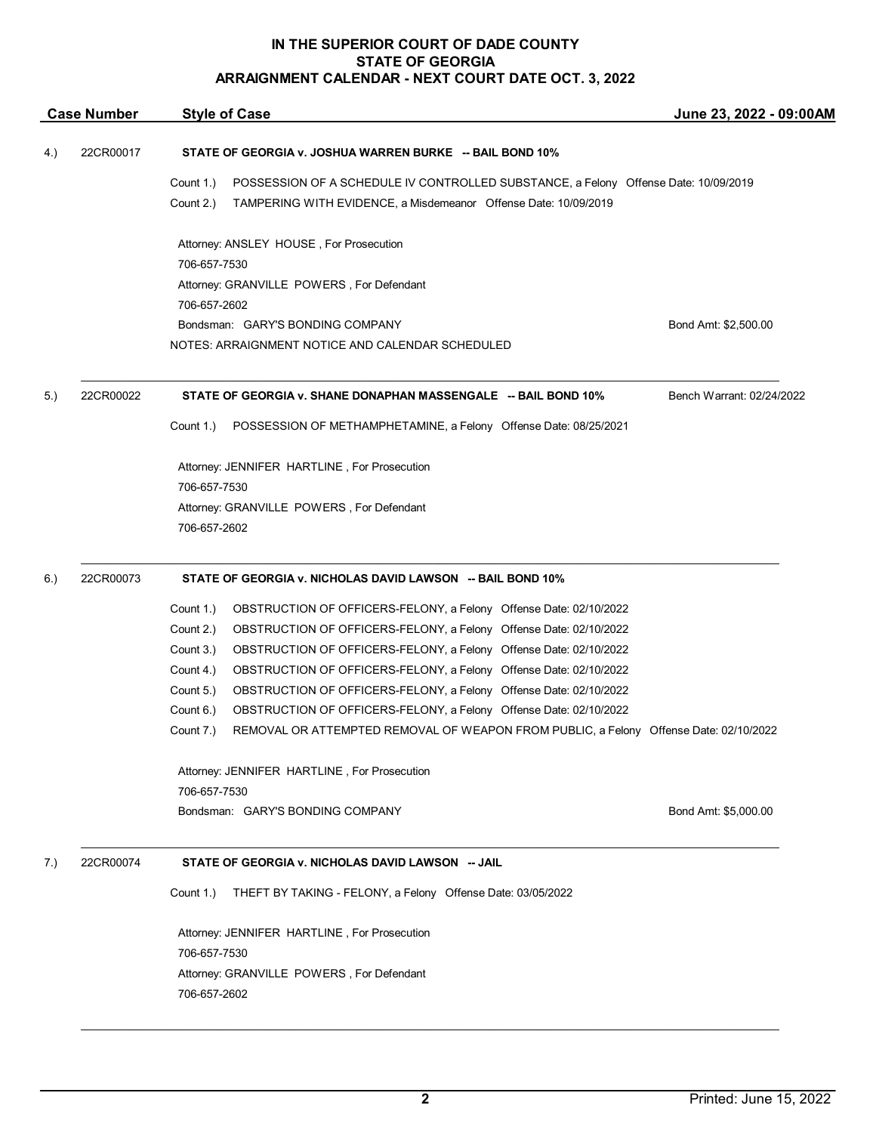## **IN THE SUPERIOR COURT OF DADE COUNTY STATE OF GEORGIA ARRAIGNMENT CALENDAR - NEXT COURT DATE OCT. 3, 2022**

|     | <b>Case Number</b> | <b>Style of Case</b>                                                                                                                                                             | June 23, 2022 - 09:00AM   |
|-----|--------------------|----------------------------------------------------------------------------------------------------------------------------------------------------------------------------------|---------------------------|
| 4.) | 22CR00017          | STATE OF GEORGIA v. JOSHUA WARREN BURKE -- BAIL BOND 10%                                                                                                                         |                           |
|     |                    | Count 1.)<br>POSSESSION OF A SCHEDULE IV CONTROLLED SUBSTANCE, a Felony Offense Date: 10/09/2019<br>Count 2.)<br>TAMPERING WITH EVIDENCE, a Misdemeanor Offense Date: 10/09/2019 |                           |
|     |                    | Attorney: ANSLEY HOUSE, For Prosecution<br>706-657-7530                                                                                                                          |                           |
|     |                    | Attorney: GRANVILLE POWERS, For Defendant<br>706-657-2602                                                                                                                        |                           |
|     |                    | Bondsman: GARY'S BONDING COMPANY<br>NOTES: ARRAIGNMENT NOTICE AND CALENDAR SCHEDULED                                                                                             | Bond Amt: \$2,500.00      |
| 5.) | 22CR00022          | STATE OF GEORGIA v. SHANE DONAPHAN MASSENGALE -- BAIL BOND 10%                                                                                                                   | Bench Warrant: 02/24/2022 |
|     |                    | POSSESSION OF METHAMPHETAMINE, a Felony Offense Date: 08/25/2021<br>Count 1.)                                                                                                    |                           |
|     |                    | Attorney: JENNIFER HARTLINE, For Prosecution<br>706-657-7530                                                                                                                     |                           |
|     |                    | Attorney: GRANVILLE POWERS, For Defendant<br>706-657-2602                                                                                                                        |                           |
| 6.) | 22CR00073          | STATE OF GEORGIA v. NICHOLAS DAVID LAWSON -- BAIL BOND 10%                                                                                                                       |                           |
|     |                    | OBSTRUCTION OF OFFICERS-FELONY, a Felony Offense Date: 02/10/2022<br>Count 1.)                                                                                                   |                           |
|     |                    | Count 2.)<br>OBSTRUCTION OF OFFICERS-FELONY, a Felony Offense Date: 02/10/2022                                                                                                   |                           |
|     |                    | Count 3.)<br>OBSTRUCTION OF OFFICERS-FELONY, a Felony Offense Date: 02/10/2022                                                                                                   |                           |
|     |                    | Count 4.)<br>OBSTRUCTION OF OFFICERS-FELONY, a Felony Offense Date: 02/10/2022                                                                                                   |                           |
|     |                    | Count 5.)<br>OBSTRUCTION OF OFFICERS-FELONY, a Felony Offense Date: 02/10/2022                                                                                                   |                           |
|     |                    | Count 6.)<br>OBSTRUCTION OF OFFICERS-FELONY, a Felony Offense Date: 02/10/2022                                                                                                   |                           |
|     |                    | REMOVAL OR ATTEMPTED REMOVAL OF WEAPON FROM PUBLIC, a Felony Offense Date: 02/10/2022<br>Count 7.)                                                                               |                           |
|     |                    | Attorney: JENNIFER HARTLINE, For Prosecution<br>706-657-7530                                                                                                                     |                           |
|     |                    | Bondsman: GARY'S BONDING COMPANY                                                                                                                                                 | Bond Amt: \$5,000.00      |
| 7.) | 22CR00074          | STATE OF GEORGIA v. NICHOLAS DAVID LAWSON -- JAIL                                                                                                                                |                           |
|     |                    | THEFT BY TAKING - FELONY, a Felony Offense Date: 03/05/2022<br>Count 1.)                                                                                                         |                           |
|     |                    | Attorney: JENNIFER HARTLINE, For Prosecution<br>706-657-7530                                                                                                                     |                           |
|     |                    | Attorney: GRANVILLE POWERS, For Defendant<br>706-657-2602                                                                                                                        |                           |
|     |                    |                                                                                                                                                                                  |                           |